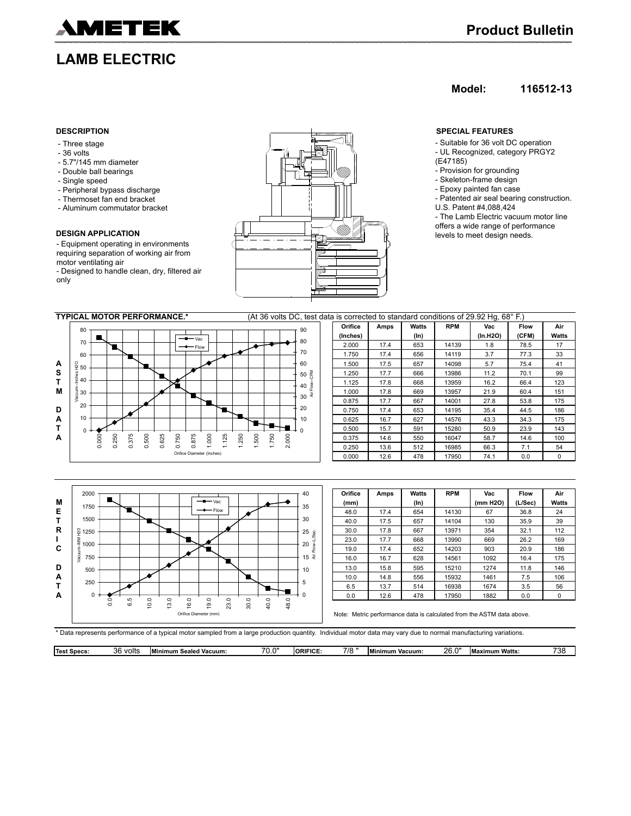

# **LAMB ELECTRIC**

### **Model: 116512-13**

- Three stage
- 36 volts
- 5.7"/145 mm diameter
- Double ball bearings
- Single speed
- Peripheral bypass discharge
- Thermoset fan end bracket
- Aluminum commutator bracket

### **DESIGN APPLICATION**

- Equipment operating in environments requiring separation of working air from motor ventilating air

- Designed to handle clean, dry, filtered air only



- Suitable for 36 volt DC operation - UL Recognized, category PRGY2
- (E47185)
- Provision for grounding
- Skeleton-frame design - Epoxy painted fan case
- 
- Patented air seal bearing construction. U.S. Patent #4,088,424
- The Lamb Electric vacuum motor line

offers a wide range of performance levels to meet design needs.





\* Data represents performance of a typical motor sampled from a large production quantity. Individual motor data may vary due to normal manufacturing variations.

|  | <sup>-+</sup> Specs:<br>Tes <sup>.</sup> | วค<br>volts<br>uu | Vacuum:<br>Minimum<br>ealed | --<br>$\sim$<br>. | <b>ORIFICE</b> | 7/8 | <b>IMinim</b><br>Vacuum:<br>um | วค<br>Ð<br>20.U | .imum Watts:<br>.max | 700<br>72<br>ື |
|--|------------------------------------------|-------------------|-----------------------------|-------------------|----------------|-----|--------------------------------|-----------------|----------------------|----------------|
|--|------------------------------------------|-------------------|-----------------------------|-------------------|----------------|-----|--------------------------------|-----------------|----------------------|----------------|